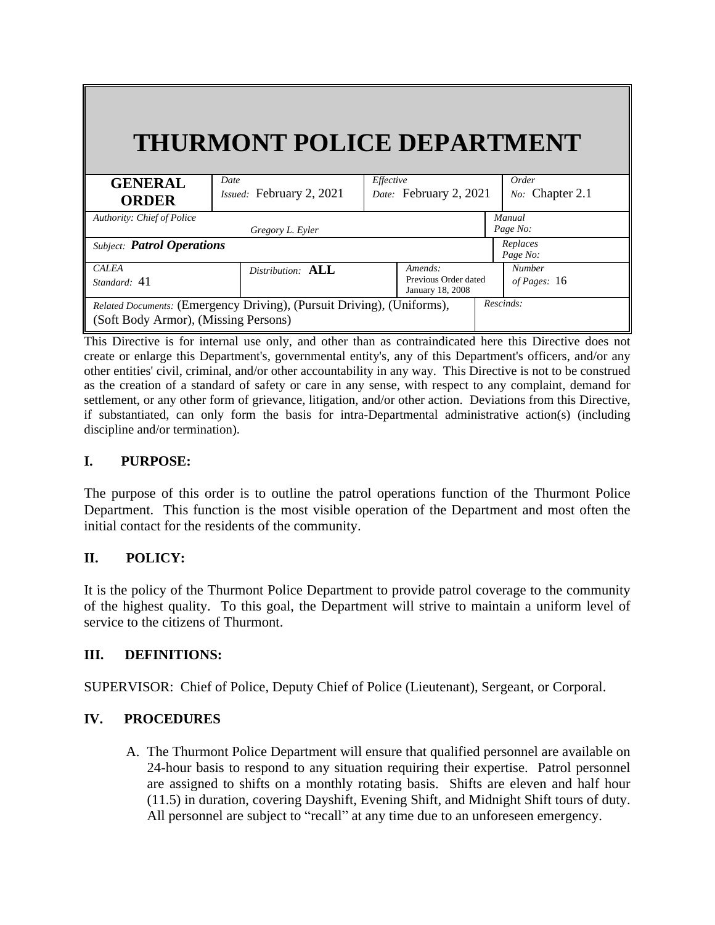# **THURMONT POLICE DEPARTMENT**

| <b>GENERAL</b>                                                         | Date                     | Effective              |                 | Order         |  |
|------------------------------------------------------------------------|--------------------------|------------------------|-----------------|---------------|--|
|                                                                        | Issued: February 2, 2021 | Date: February 2, 2021 | No: Chapter 2.1 |               |  |
| <b>ORDER</b>                                                           |                          |                        |                 |               |  |
| Authority: Chief of Police                                             |                          |                        |                 | Manual        |  |
|                                                                        | Gregory L. Eyler         |                        | Page No:        |               |  |
| <b>Subject: Patrol Operations</b>                                      |                          |                        |                 | Replaces      |  |
|                                                                        |                          |                        |                 | Page No:      |  |
| <b>CALEA</b>                                                           | Distribution: ALL        | Amends:                |                 | <b>Number</b> |  |
| Standard: 41                                                           |                          | Previous Order dated   |                 | of Pages: 16  |  |
|                                                                        |                          | January 18, 2008       |                 |               |  |
| Related Documents: (Emergency Driving), (Pursuit Driving), (Uniforms), |                          |                        | Rescinds:       |               |  |
| (Soft Body Armor), (Missing Persons)                                   |                          |                        |                 |               |  |
|                                                                        |                          |                        |                 |               |  |

This Directive is for internal use only, and other than as contraindicated here this Directive does not create or enlarge this Department's, governmental entity's, any of this Department's officers, and/or any other entities' civil, criminal, and/or other accountability in any way. This Directive is not to be construed as the creation of a standard of safety or care in any sense, with respect to any complaint, demand for settlement, or any other form of grievance, litigation, and/or other action. Deviations from this Directive, if substantiated, can only form the basis for intra-Departmental administrative action(s) (including discipline and/or termination).

## **I. PURPOSE:**

The purpose of this order is to outline the patrol operations function of the Thurmont Police Department. This function is the most visible operation of the Department and most often the initial contact for the residents of the community.

## **II. POLICY:**

It is the policy of the Thurmont Police Department to provide patrol coverage to the community of the highest quality. To this goal, the Department will strive to maintain a uniform level of service to the citizens of Thurmont.

## **III. DEFINITIONS:**

SUPERVISOR: Chief of Police, Deputy Chief of Police (Lieutenant), Sergeant, or Corporal.

# **IV. PROCEDURES**

A. The Thurmont Police Department will ensure that qualified personnel are available on 24-hour basis to respond to any situation requiring their expertise. Patrol personnel are assigned to shifts on a monthly rotating basis. Shifts are eleven and half hour (11.5) in duration, covering Dayshift, Evening Shift, and Midnight Shift tours of duty. All personnel are subject to "recall" at any time due to an unforeseen emergency.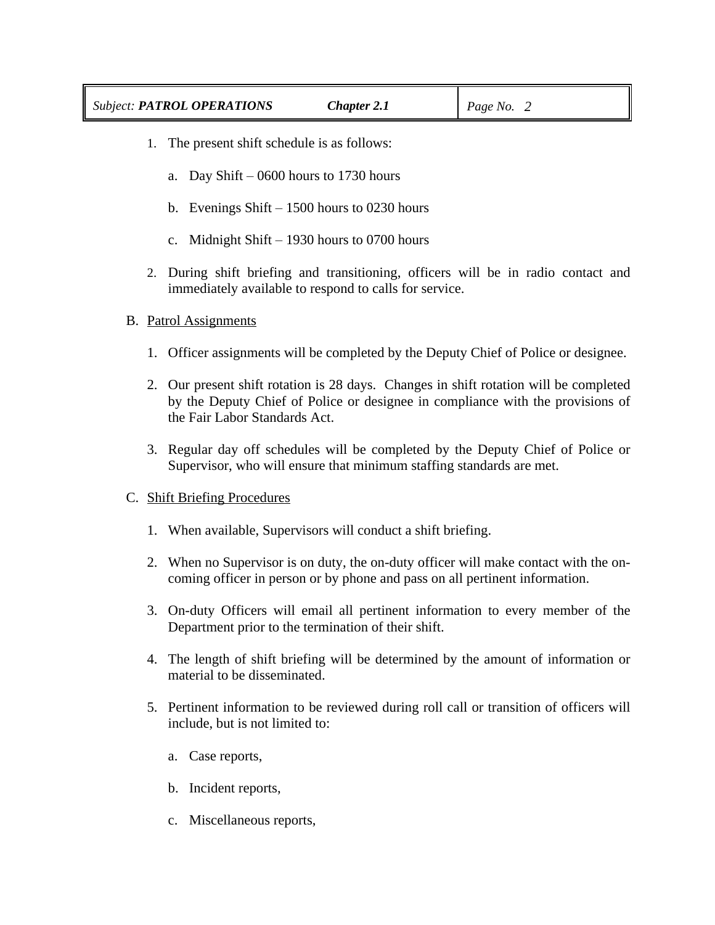- 1. The present shift schedule is as follows:
	- a. Day Shift 0600 hours to 1730 hours
	- b. Evenings Shift 1500 hours to 0230 hours
	- c. Midnight Shift 1930 hours to 0700 hours
- 2. During shift briefing and transitioning, officers will be in radio contact and immediately available to respond to calls for service.

## B. Patrol Assignments

- 1. Officer assignments will be completed by the Deputy Chief of Police or designee.
- 2. Our present shift rotation is 28 days. Changes in shift rotation will be completed by the Deputy Chief of Police or designee in compliance with the provisions of the Fair Labor Standards Act.
- 3. Regular day off schedules will be completed by the Deputy Chief of Police or Supervisor, who will ensure that minimum staffing standards are met.

## C. Shift Briefing Procedures

- 1. When available, Supervisors will conduct a shift briefing.
- 2. When no Supervisor is on duty, the on-duty officer will make contact with the oncoming officer in person or by phone and pass on all pertinent information.
- 3. On-duty Officers will email all pertinent information to every member of the Department prior to the termination of their shift.
- 4. The length of shift briefing will be determined by the amount of information or material to be disseminated.
- 5. Pertinent information to be reviewed during roll call or transition of officers will include, but is not limited to:
	- a. Case reports,
	- b. Incident reports,
	- c. Miscellaneous reports,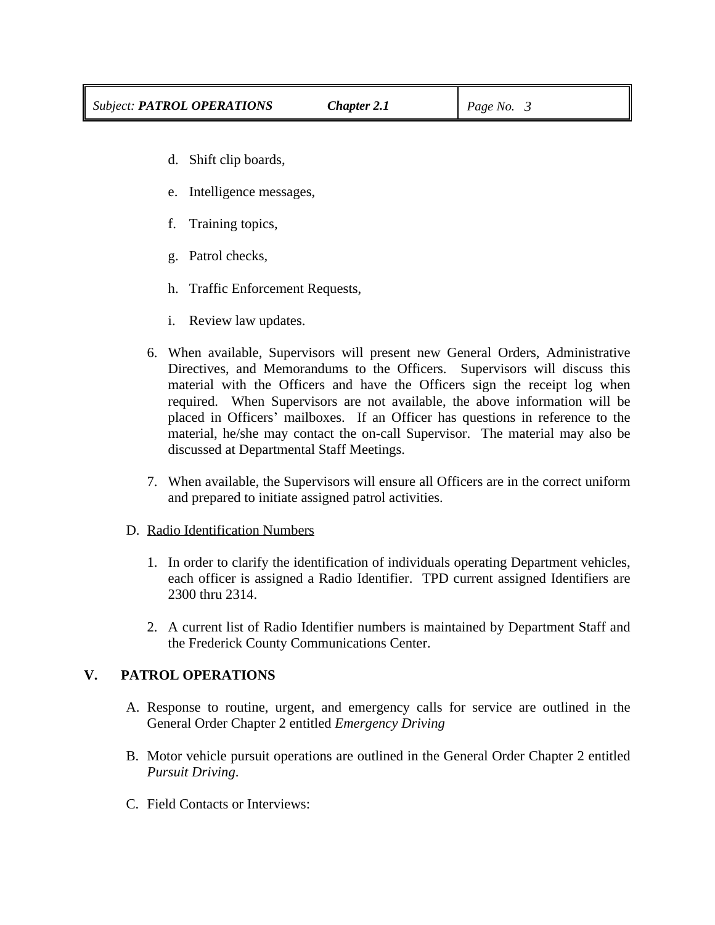- d. Shift clip boards,
- e. Intelligence messages,
- f. Training topics,
- g. Patrol checks,
- h. Traffic Enforcement Requests,
- i. Review law updates.
- 6. When available, Supervisors will present new General Orders, Administrative Directives, and Memorandums to the Officers. Supervisors will discuss this material with the Officers and have the Officers sign the receipt log when required. When Supervisors are not available, the above information will be placed in Officers' mailboxes. If an Officer has questions in reference to the material, he/she may contact the on-call Supervisor. The material may also be discussed at Departmental Staff Meetings.
- 7. When available, the Supervisors will ensure all Officers are in the correct uniform and prepared to initiate assigned patrol activities.

#### D. Radio Identification Numbers

- 1. In order to clarify the identification of individuals operating Department vehicles, each officer is assigned a Radio Identifier. TPD current assigned Identifiers are 2300 thru 2314.
- 2. A current list of Radio Identifier numbers is maintained by Department Staff and the Frederick County Communications Center.

#### **V. PATROL OPERATIONS**

- A. Response to routine, urgent, and emergency calls for service are outlined in the General Order Chapter 2 entitled *Emergency Driving*
- B. Motor vehicle pursuit operations are outlined in the General Order Chapter 2 entitled *Pursuit Driving*.
- C. Field Contacts or Interviews: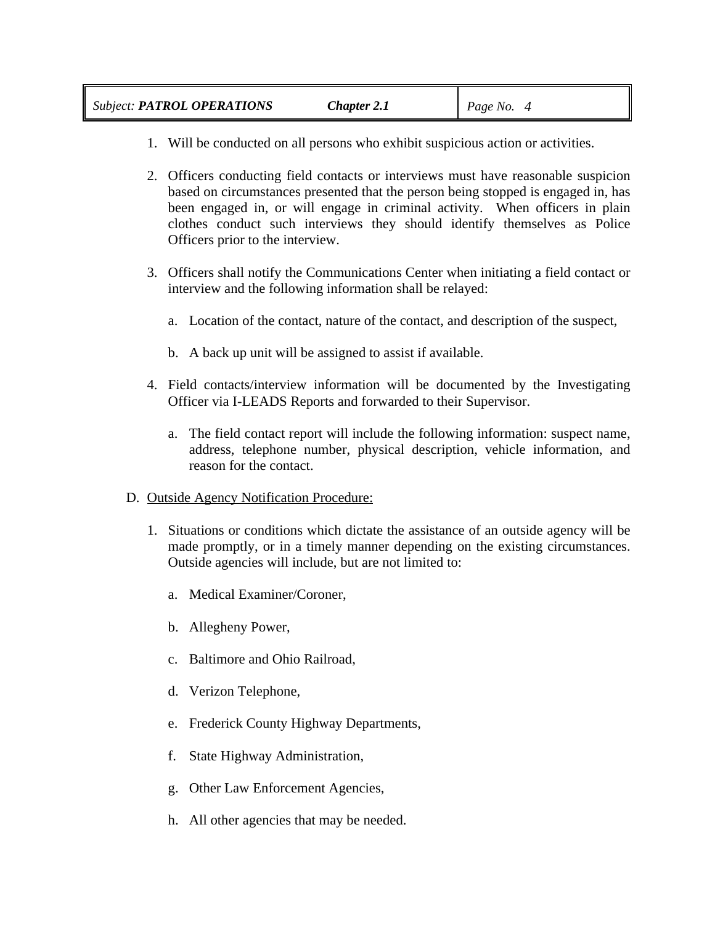- 1. Will be conducted on all persons who exhibit suspicious action or activities.
- 2. Officers conducting field contacts or interviews must have reasonable suspicion based on circumstances presented that the person being stopped is engaged in, has been engaged in, or will engage in criminal activity. When officers in plain clothes conduct such interviews they should identify themselves as Police Officers prior to the interview.
- 3. Officers shall notify the Communications Center when initiating a field contact or interview and the following information shall be relayed:
	- a. Location of the contact, nature of the contact, and description of the suspect,
	- b. A back up unit will be assigned to assist if available.
- 4. Field contacts/interview information will be documented by the Investigating Officer via I-LEADS Reports and forwarded to their Supervisor.
	- a. The field contact report will include the following information: suspect name, address, telephone number, physical description, vehicle information, and reason for the contact.
- D. Outside Agency Notification Procedure:
	- 1. Situations or conditions which dictate the assistance of an outside agency will be made promptly, or in a timely manner depending on the existing circumstances. Outside agencies will include, but are not limited to:
		- a. Medical Examiner/Coroner,
		- b. Allegheny Power,
		- c. Baltimore and Ohio Railroad,
		- d. Verizon Telephone,
		- e. Frederick County Highway Departments,
		- f. State Highway Administration,
		- g. Other Law Enforcement Agencies,
		- h. All other agencies that may be needed.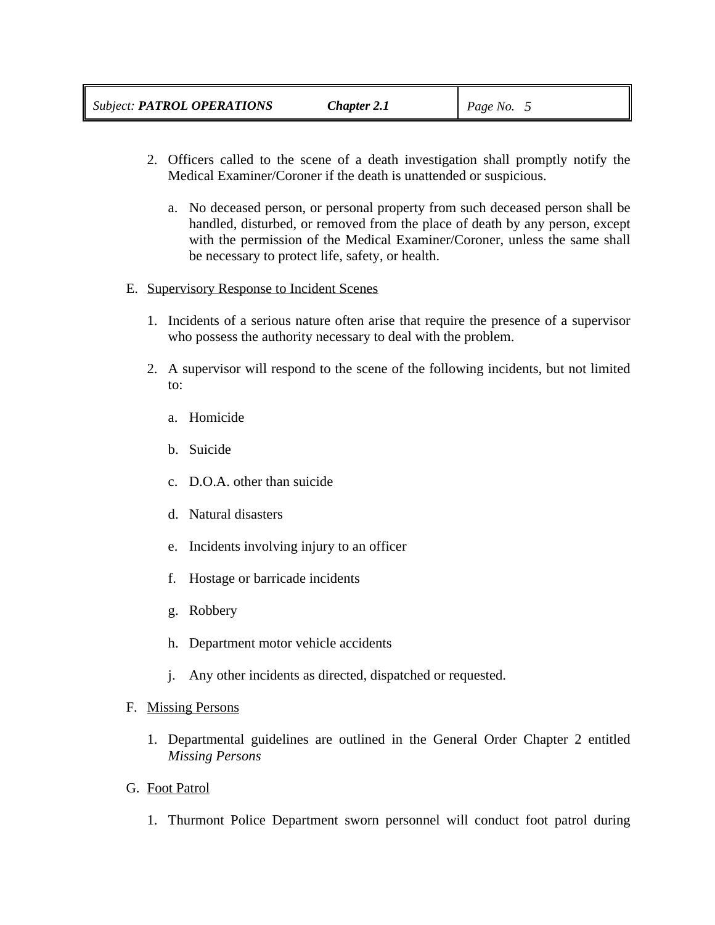- 2. Officers called to the scene of a death investigation shall promptly notify the Medical Examiner/Coroner if the death is unattended or suspicious.
	- a. No deceased person, or personal property from such deceased person shall be handled, disturbed, or removed from the place of death by any person, except with the permission of the Medical Examiner/Coroner, unless the same shall be necessary to protect life, safety, or health.
- E. Supervisory Response to Incident Scenes
	- 1. Incidents of a serious nature often arise that require the presence of a supervisor who possess the authority necessary to deal with the problem.
	- 2. A supervisor will respond to the scene of the following incidents, but not limited to:
		- a. Homicide
		- b. Suicide
		- c. D.O.A. other than suicide
		- d. Natural disasters
		- e. Incidents involving injury to an officer
		- f. Hostage or barricade incidents
		- g. Robbery
		- h. Department motor vehicle accidents
		- j. Any other incidents as directed, dispatched or requested.

# F. Missing Persons

- 1. Departmental guidelines are outlined in the General Order Chapter 2 entitled *Missing Persons*
- G. Foot Patrol
	- 1. Thurmont Police Department sworn personnel will conduct foot patrol during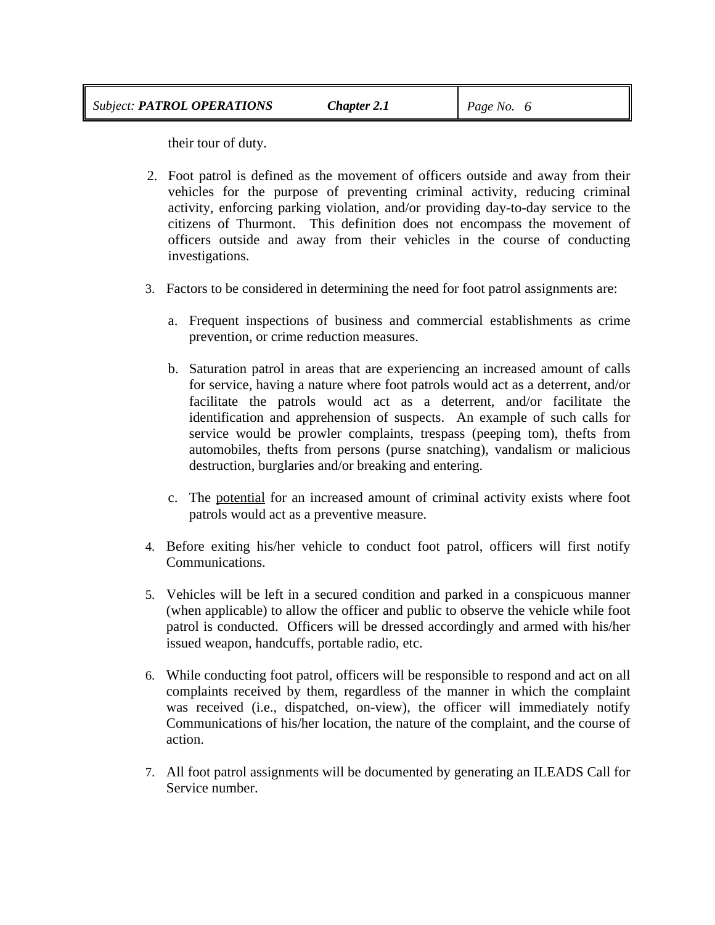their tour of duty.

- 2. Foot patrol is defined as the movement of officers outside and away from their vehicles for the purpose of preventing criminal activity, reducing criminal activity, enforcing parking violation, and/or providing day-to-day service to the citizens of Thurmont. This definition does not encompass the movement of officers outside and away from their vehicles in the course of conducting investigations.
- 3. Factors to be considered in determining the need for foot patrol assignments are:
	- a. Frequent inspections of business and commercial establishments as crime prevention, or crime reduction measures.
	- b. Saturation patrol in areas that are experiencing an increased amount of calls for service, having a nature where foot patrols would act as a deterrent, and/or facilitate the patrols would act as a deterrent, and/or facilitate the identification and apprehension of suspects. An example of such calls for service would be prowler complaints, trespass (peeping tom), thefts from automobiles, thefts from persons (purse snatching), vandalism or malicious destruction, burglaries and/or breaking and entering.
	- c. The potential for an increased amount of criminal activity exists where foot patrols would act as a preventive measure.
- 4. Before exiting his/her vehicle to conduct foot patrol, officers will first notify Communications.
- 5. Vehicles will be left in a secured condition and parked in a conspicuous manner (when applicable) to allow the officer and public to observe the vehicle while foot patrol is conducted. Officers will be dressed accordingly and armed with his/her issued weapon, handcuffs, portable radio, etc.
- 6. While conducting foot patrol, officers will be responsible to respond and act on all complaints received by them, regardless of the manner in which the complaint was received (i.e., dispatched, on-view), the officer will immediately notify Communications of his/her location, the nature of the complaint, and the course of action.
- 7. All foot patrol assignments will be documented by generating an ILEADS Call for Service number.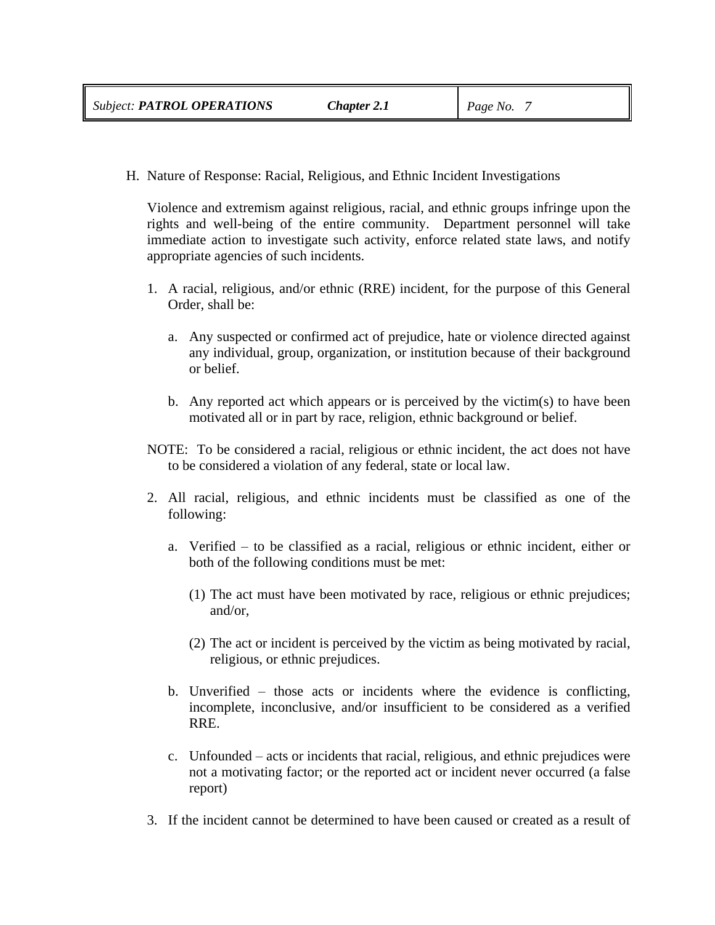H. Nature of Response: Racial, Religious, and Ethnic Incident Investigations

Violence and extremism against religious, racial, and ethnic groups infringe upon the rights and well-being of the entire community. Department personnel will take immediate action to investigate such activity, enforce related state laws, and notify appropriate agencies of such incidents.

- 1. A racial, religious, and/or ethnic (RRE) incident, for the purpose of this General Order, shall be:
	- a. Any suspected or confirmed act of prejudice, hate or violence directed against any individual, group, organization, or institution because of their background or belief.
	- b. Any reported act which appears or is perceived by the victim(s) to have been motivated all or in part by race, religion, ethnic background or belief.
- NOTE: To be considered a racial, religious or ethnic incident, the act does not have to be considered a violation of any federal, state or local law.
- 2. All racial, religious, and ethnic incidents must be classified as one of the following:
	- a. Verified to be classified as a racial, religious or ethnic incident, either or both of the following conditions must be met:
		- (1) The act must have been motivated by race, religious or ethnic prejudices; and/or,
		- (2) The act or incident is perceived by the victim as being motivated by racial, religious, or ethnic prejudices.
	- b. Unverified those acts or incidents where the evidence is conflicting, incomplete, inconclusive, and/or insufficient to be considered as a verified RRE.
	- c. Unfounded acts or incidents that racial, religious, and ethnic prejudices were not a motivating factor; or the reported act or incident never occurred (a false report)
- 3. If the incident cannot be determined to have been caused or created as a result of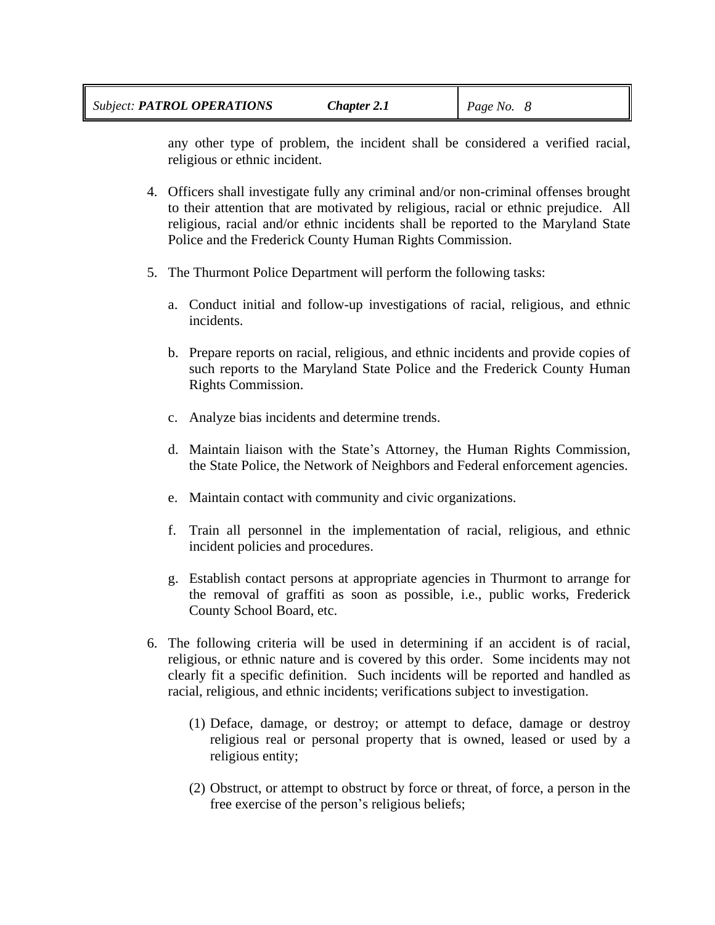any other type of problem, the incident shall be considered a verified racial, religious or ethnic incident.

- 4. Officers shall investigate fully any criminal and/or non-criminal offenses brought to their attention that are motivated by religious, racial or ethnic prejudice. All religious, racial and/or ethnic incidents shall be reported to the Maryland State Police and the Frederick County Human Rights Commission.
- 5. The Thurmont Police Department will perform the following tasks:
	- a. Conduct initial and follow-up investigations of racial, religious, and ethnic incidents.
	- b. Prepare reports on racial, religious, and ethnic incidents and provide copies of such reports to the Maryland State Police and the Frederick County Human Rights Commission.
	- c. Analyze bias incidents and determine trends.
	- d. Maintain liaison with the State's Attorney, the Human Rights Commission, the State Police, the Network of Neighbors and Federal enforcement agencies.
	- e. Maintain contact with community and civic organizations.
	- f. Train all personnel in the implementation of racial, religious, and ethnic incident policies and procedures.
	- g. Establish contact persons at appropriate agencies in Thurmont to arrange for the removal of graffiti as soon as possible, i.e., public works, Frederick County School Board, etc.
- 6. The following criteria will be used in determining if an accident is of racial, religious, or ethnic nature and is covered by this order. Some incidents may not clearly fit a specific definition. Such incidents will be reported and handled as racial, religious, and ethnic incidents; verifications subject to investigation.
	- (1) Deface, damage, or destroy; or attempt to deface, damage or destroy religious real or personal property that is owned, leased or used by a religious entity;
	- (2) Obstruct, or attempt to obstruct by force or threat, of force, a person in the free exercise of the person's religious beliefs;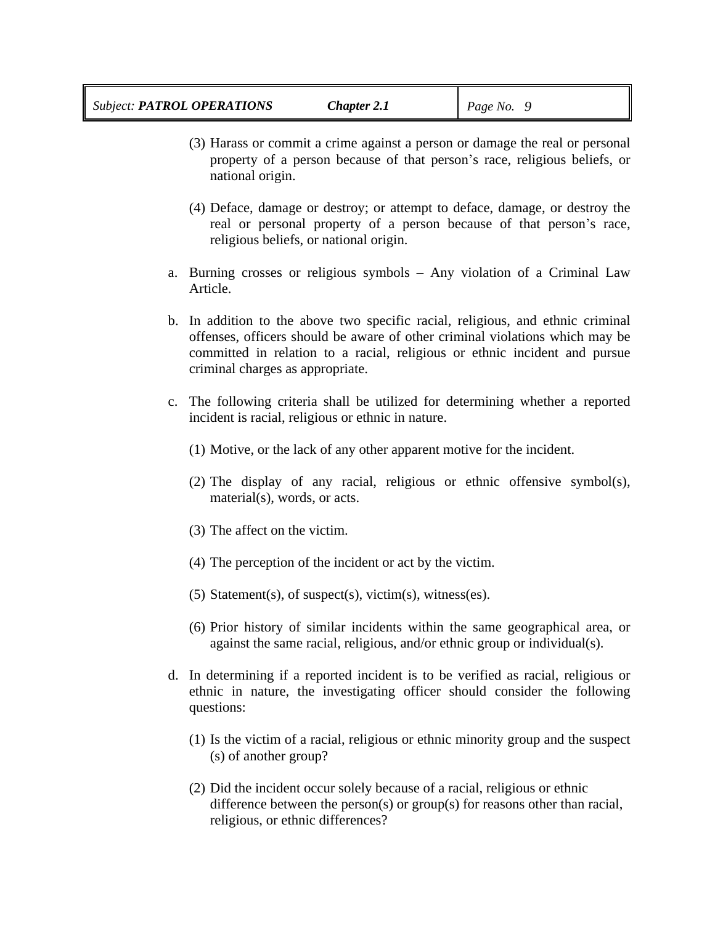- (3) Harass or commit a crime against a person or damage the real or personal property of a person because of that person's race, religious beliefs, or national origin.
- (4) Deface, damage or destroy; or attempt to deface, damage, or destroy the real or personal property of a person because of that person's race, religious beliefs, or national origin.
- a. Burning crosses or religious symbols Any violation of a Criminal Law Article.
- b. In addition to the above two specific racial, religious, and ethnic criminal offenses, officers should be aware of other criminal violations which may be committed in relation to a racial, religious or ethnic incident and pursue criminal charges as appropriate.
- c. The following criteria shall be utilized for determining whether a reported incident is racial, religious or ethnic in nature.
	- (1) Motive, or the lack of any other apparent motive for the incident.
	- (2) The display of any racial, religious or ethnic offensive symbol(s), material(s), words, or acts.
	- (3) The affect on the victim.
	- (4) The perception of the incident or act by the victim.
	- (5) Statement(s), of suspect(s), victim(s), witness(es).
	- (6) Prior history of similar incidents within the same geographical area, or against the same racial, religious, and/or ethnic group or individual(s).
- d. In determining if a reported incident is to be verified as racial, religious or ethnic in nature, the investigating officer should consider the following questions:
	- (1) Is the victim of a racial, religious or ethnic minority group and the suspect (s) of another group?
	- (2) Did the incident occur solely because of a racial, religious or ethnic difference between the person(s) or group(s) for reasons other than racial, religious, or ethnic differences?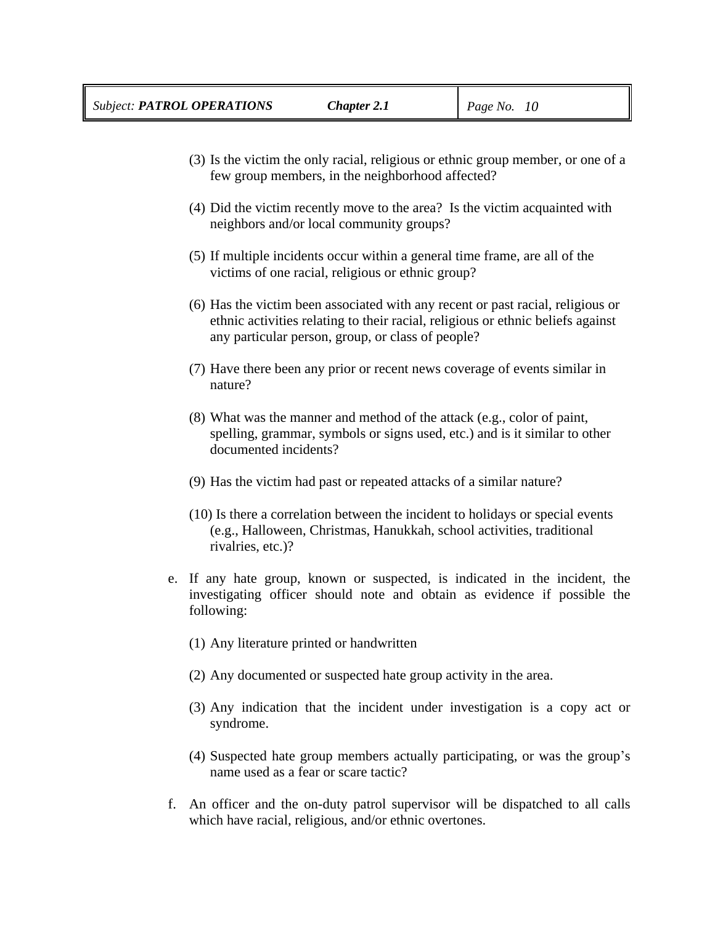- (3) Is the victim the only racial, religious or ethnic group member, or one of a few group members, in the neighborhood affected?
- (4) Did the victim recently move to the area? Is the victim acquainted with neighbors and/or local community groups?
- (5) If multiple incidents occur within a general time frame, are all of the victims of one racial, religious or ethnic group?
- (6) Has the victim been associated with any recent or past racial, religious or ethnic activities relating to their racial, religious or ethnic beliefs against any particular person, group, or class of people?
- (7) Have there been any prior or recent news coverage of events similar in nature?
- (8) What was the manner and method of the attack (e.g., color of paint, spelling, grammar, symbols or signs used, etc.) and is it similar to other documented incidents?
- (9) Has the victim had past or repeated attacks of a similar nature?
- (10) Is there a correlation between the incident to holidays or special events (e.g., Halloween, Christmas, Hanukkah, school activities, traditional rivalries, etc.)?
- e. If any hate group, known or suspected, is indicated in the incident, the investigating officer should note and obtain as evidence if possible the following:
	- (1) Any literature printed or handwritten
	- (2) Any documented or suspected hate group activity in the area.
	- (3) Any indication that the incident under investigation is a copy act or syndrome.
	- (4) Suspected hate group members actually participating, or was the group's name used as a fear or scare tactic?
- f. An officer and the on-duty patrol supervisor will be dispatched to all calls which have racial, religious, and/or ethnic overtones.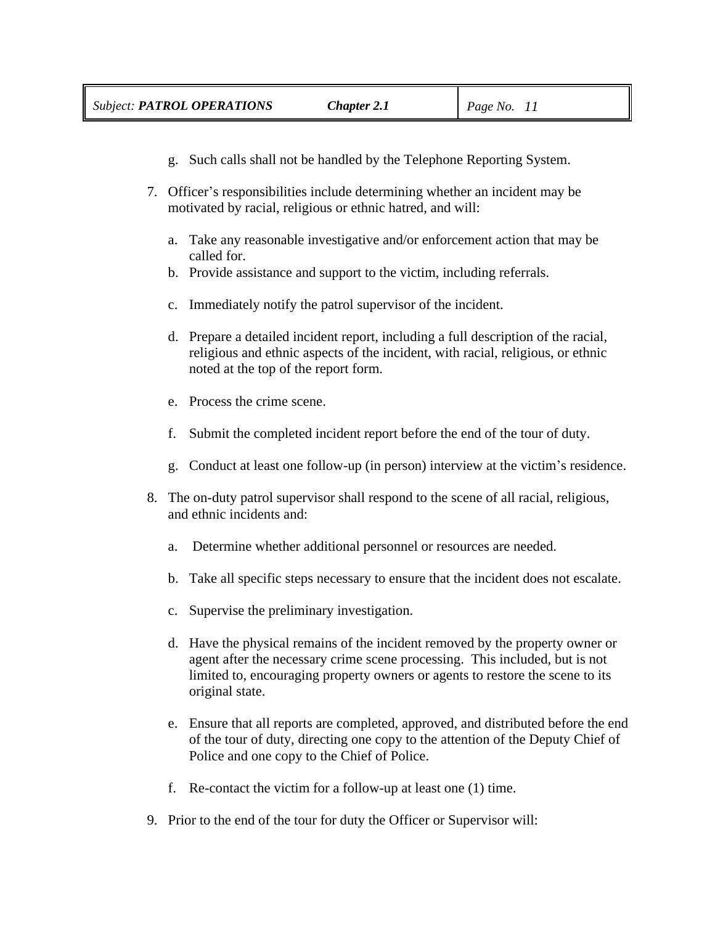- g. Such calls shall not be handled by the Telephone Reporting System.
- 7. Officer's responsibilities include determining whether an incident may be motivated by racial, religious or ethnic hatred, and will:
	- a. Take any reasonable investigative and/or enforcement action that may be called for.
	- b. Provide assistance and support to the victim, including referrals.
	- c. Immediately notify the patrol supervisor of the incident.
	- d. Prepare a detailed incident report, including a full description of the racial, religious and ethnic aspects of the incident, with racial, religious, or ethnic noted at the top of the report form.
	- e. Process the crime scene.
	- f. Submit the completed incident report before the end of the tour of duty.
	- g. Conduct at least one follow-up (in person) interview at the victim's residence.
- 8. The on-duty patrol supervisor shall respond to the scene of all racial, religious, and ethnic incidents and:
	- a. Determine whether additional personnel or resources are needed.
	- b. Take all specific steps necessary to ensure that the incident does not escalate.
	- c. Supervise the preliminary investigation.
	- d. Have the physical remains of the incident removed by the property owner or agent after the necessary crime scene processing. This included, but is not limited to, encouraging property owners or agents to restore the scene to its original state.
	- e. Ensure that all reports are completed, approved, and distributed before the end of the tour of duty, directing one copy to the attention of the Deputy Chief of Police and one copy to the Chief of Police.
	- f. Re-contact the victim for a follow-up at least one (1) time.
- 9. Prior to the end of the tour for duty the Officer or Supervisor will: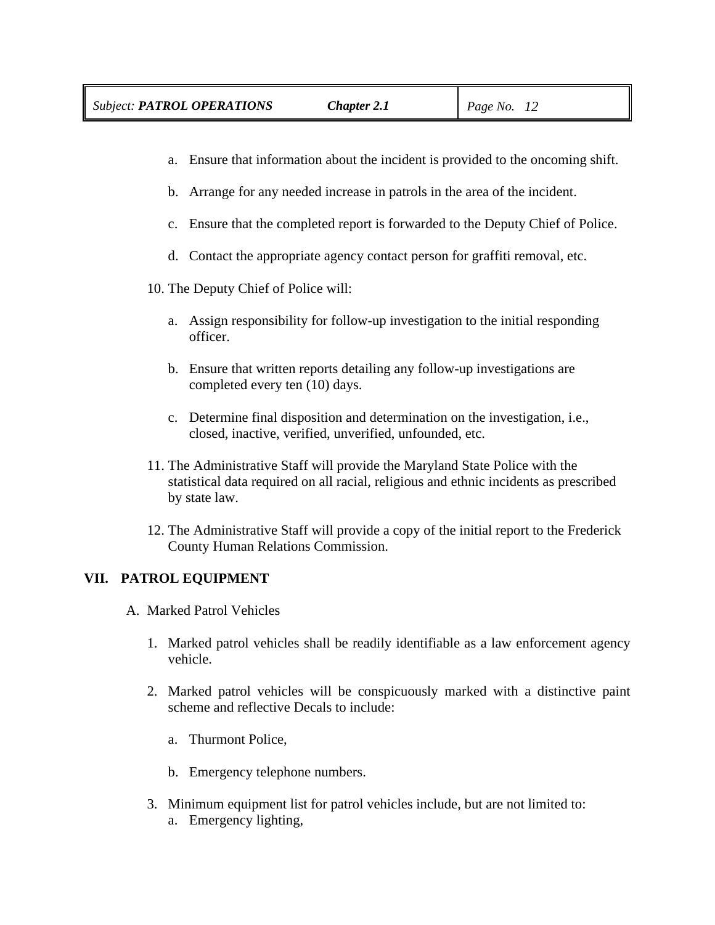- a. Ensure that information about the incident is provided to the oncoming shift.
- b. Arrange for any needed increase in patrols in the area of the incident.
- c. Ensure that the completed report is forwarded to the Deputy Chief of Police.
- d. Contact the appropriate agency contact person for graffiti removal, etc.
- 10. The Deputy Chief of Police will:
	- a. Assign responsibility for follow-up investigation to the initial responding officer.
	- b. Ensure that written reports detailing any follow-up investigations are completed every ten (10) days.
	- c. Determine final disposition and determination on the investigation, i.e., closed, inactive, verified, unverified, unfounded, etc.
- 11. The Administrative Staff will provide the Maryland State Police with the statistical data required on all racial, religious and ethnic incidents as prescribed by state law.
- 12. The Administrative Staff will provide a copy of the initial report to the Frederick County Human Relations Commission.

# **VII. PATROL EQUIPMENT**

- A. Marked Patrol Vehicles
	- 1. Marked patrol vehicles shall be readily identifiable as a law enforcement agency vehicle.
	- 2. Marked patrol vehicles will be conspicuously marked with a distinctive paint scheme and reflective Decals to include:
		- a. Thurmont Police,
		- b. Emergency telephone numbers.
	- 3. Minimum equipment list for patrol vehicles include, but are not limited to: a. Emergency lighting,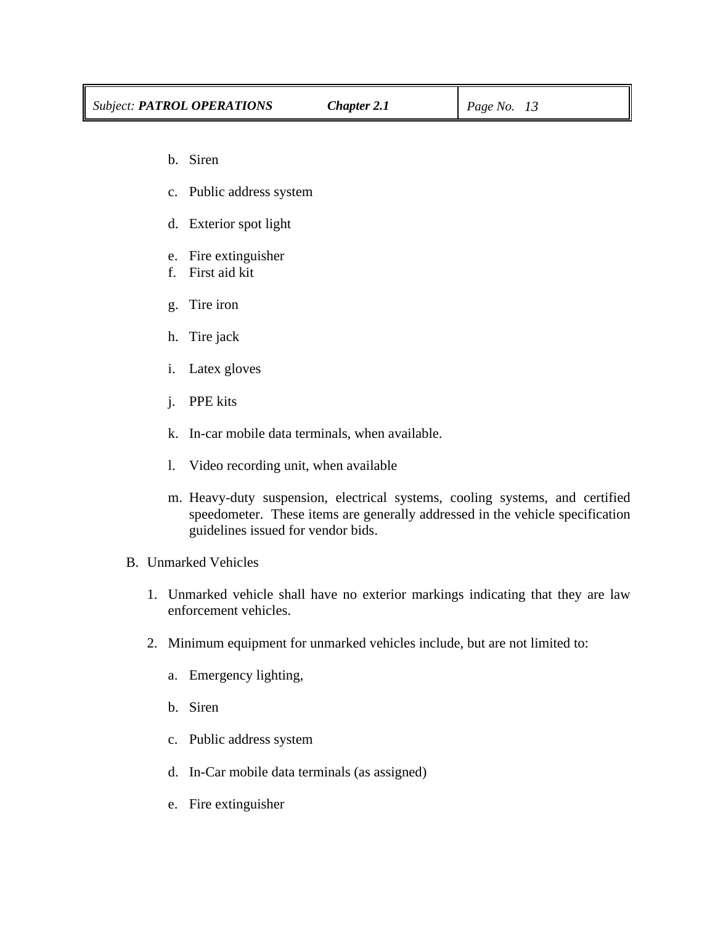- b. Siren
- c. Public address system
- d. Exterior spot light
- e. Fire extinguisher
- f. First aid kit
- g. Tire iron
- h. Tire jack
- i. Latex gloves
- j. PPE kits
- k. In-car mobile data terminals, when available.
- l. Video recording unit, when available
- m. Heavy-duty suspension, electrical systems, cooling systems, and certified speedometer. These items are generally addressed in the vehicle specification guidelines issued for vendor bids.
- B. Unmarked Vehicles
	- 1. Unmarked vehicle shall have no exterior markings indicating that they are law enforcement vehicles.
	- 2. Minimum equipment for unmarked vehicles include, but are not limited to:
		- a. Emergency lighting,
		- b. Siren
		- c. Public address system
		- d. In-Car mobile data terminals (as assigned)
		- e. Fire extinguisher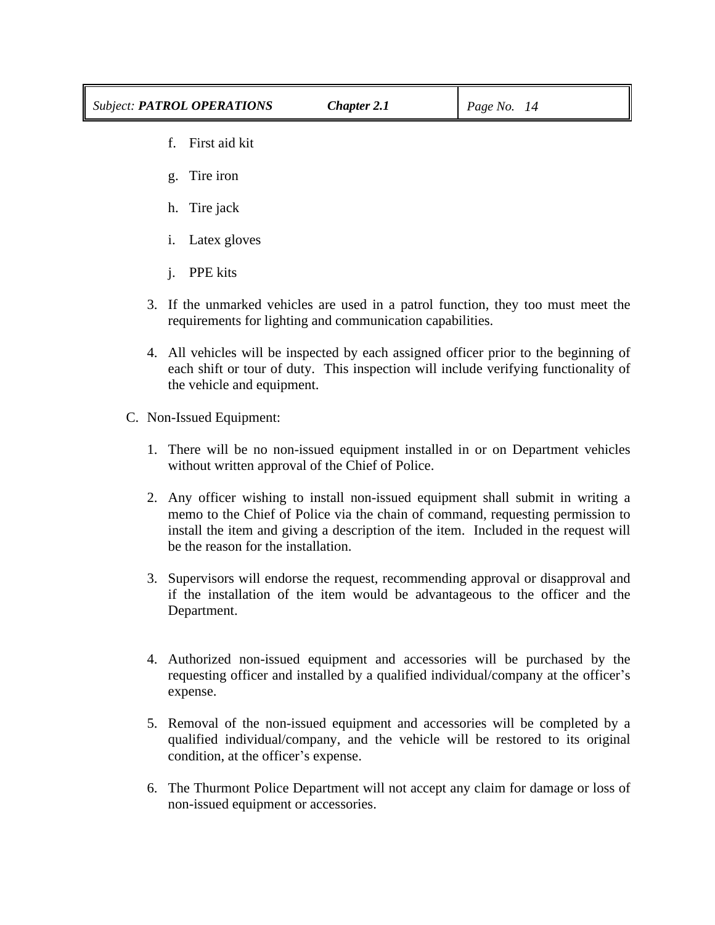- f. First aid kit
- g. Tire iron
- h. Tire jack
- i. Latex gloves
- j. PPE kits
- 3. If the unmarked vehicles are used in a patrol function, they too must meet the requirements for lighting and communication capabilities.
- 4. All vehicles will be inspected by each assigned officer prior to the beginning of each shift or tour of duty. This inspection will include verifying functionality of the vehicle and equipment.
- C. Non-Issued Equipment:
	- 1. There will be no non-issued equipment installed in or on Department vehicles without written approval of the Chief of Police.
	- 2. Any officer wishing to install non-issued equipment shall submit in writing a memo to the Chief of Police via the chain of command, requesting permission to install the item and giving a description of the item. Included in the request will be the reason for the installation.
	- 3. Supervisors will endorse the request, recommending approval or disapproval and if the installation of the item would be advantageous to the officer and the Department.
	- 4. Authorized non-issued equipment and accessories will be purchased by the requesting officer and installed by a qualified individual/company at the officer's expense.
	- 5. Removal of the non-issued equipment and accessories will be completed by a qualified individual/company, and the vehicle will be restored to its original condition, at the officer's expense.
	- 6. The Thurmont Police Department will not accept any claim for damage or loss of non-issued equipment or accessories.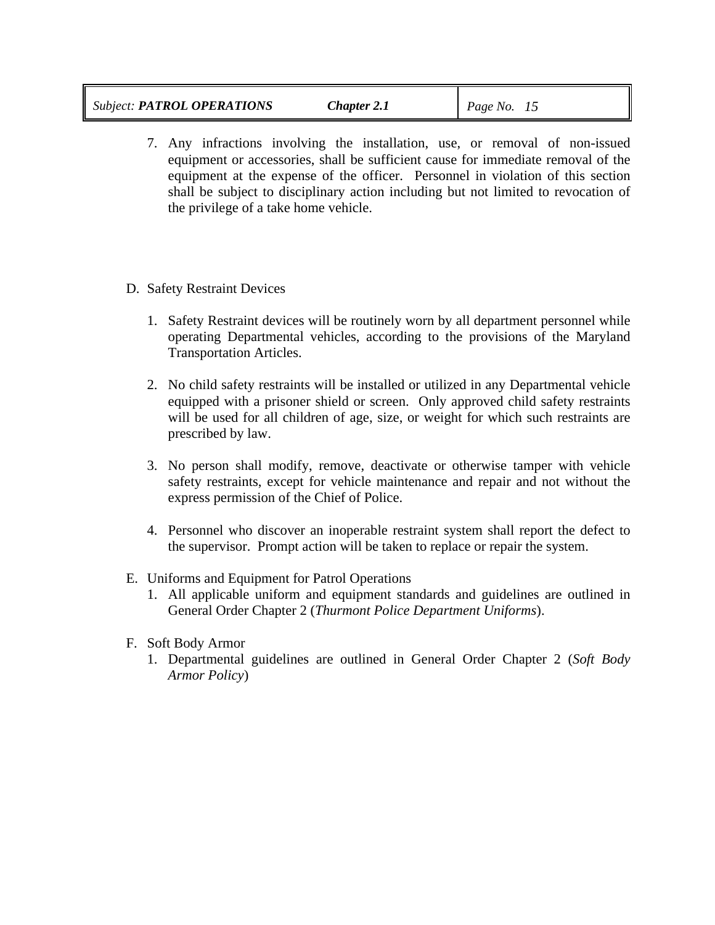| <b>Subject: PATROL OPERATIONS</b> | Chapter 2.1 | $\vert$ Page No. $\vert$ |  |
|-----------------------------------|-------------|--------------------------|--|
|-----------------------------------|-------------|--------------------------|--|

- 7. Any infractions involving the installation, use, or removal of non-issued equipment or accessories, shall be sufficient cause for immediate removal of the equipment at the expense of the officer. Personnel in violation of this section shall be subject to disciplinary action including but not limited to revocation of the privilege of a take home vehicle.
- D. Safety Restraint Devices
	- 1. Safety Restraint devices will be routinely worn by all department personnel while operating Departmental vehicles, according to the provisions of the Maryland Transportation Articles.
	- 2. No child safety restraints will be installed or utilized in any Departmental vehicle equipped with a prisoner shield or screen. Only approved child safety restraints will be used for all children of age, size, or weight for which such restraints are prescribed by law.
	- 3. No person shall modify, remove, deactivate or otherwise tamper with vehicle safety restraints, except for vehicle maintenance and repair and not without the express permission of the Chief of Police.
	- 4. Personnel who discover an inoperable restraint system shall report the defect to the supervisor. Prompt action will be taken to replace or repair the system.
- E. Uniforms and Equipment for Patrol Operations
	- 1. All applicable uniform and equipment standards and guidelines are outlined in General Order Chapter 2 (*Thurmont Police Department Uniforms*).
- F. Soft Body Armor
	- 1. Departmental guidelines are outlined in General Order Chapter 2 (*Soft Body Armor Policy*)